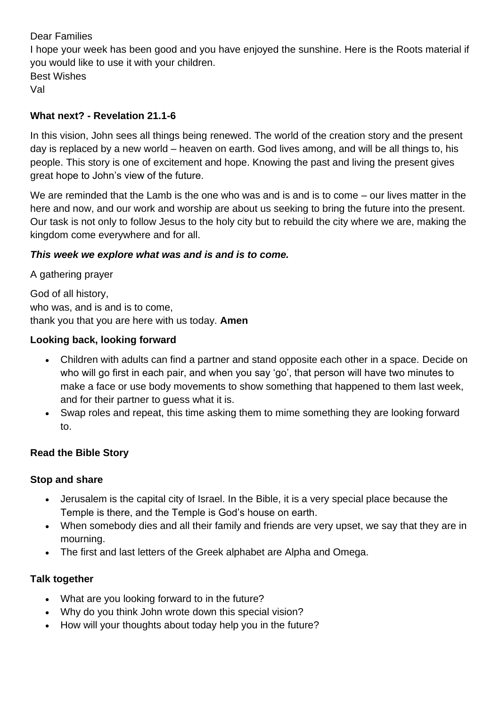## Dear Families

I hope your week has been good and you have enjoyed the sunshine. Here is the Roots material if you would like to use it with your children. Best Wishes Val

## **What next? - Revelation 21.1-6**

In this vision, John sees all things being renewed. The world of the creation story and the present day is replaced by a new world – heaven on earth. God lives among, and will be all things to, his people. This story is one of excitement and hope. Knowing the past and living the present gives great hope to John's view of the future.

We are reminded that the Lamb is the one who was and is and is to come – our lives matter in the here and now, and our work and worship are about us seeking to bring the future into the present. Our task is not only to follow Jesus to the holy city but to rebuild the city where we are, making the kingdom come everywhere and for all.

### *This week we explore what was and is and is to come.*

A gathering prayer God of all history, who was, and is and is to come, thank you that you are here with us today. **Amen**

## **Looking back, looking forward**

- Children with adults can find a partner and stand opposite each other in a space. Decide on who will go first in each pair, and when you say 'go', that person will have two minutes to make a face or use body movements to show something that happened to them last week, and for their partner to guess what it is.
- Swap roles and repeat, this time asking them to mime something they are looking forward to.

### **Read the Bible Story**

### **Stop and share**

- Jerusalem is the capital city of Israel. In the Bible, it is a very special place because the Temple is there, and the Temple is God's house on earth.
- When somebody dies and all their family and friends are very upset, we say that they are in mourning.
- The first and last letters of the Greek alphabet are Alpha and Omega.

# **Talk together**

- What are you looking forward to in the future?
- Why do you think John wrote down this special vision?
- How will your thoughts about today help you in the future?